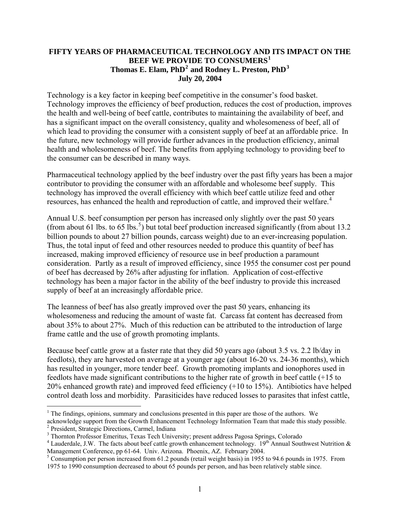#### **FIFTY YEARS OF PHARMACEUTICAL TECHNOLOGY AND ITS IMPACT ON THE BEEF WE PROVIDE TO CONSUMERS[1](#page-0-0) Thomas E. Elam, PhD[2](#page-0-1) and Rodney L. Preston, PhD[3](#page-0-2) July 20, 2004**

Technology is a key factor in keeping beef competitive in the consumer's food basket. Technology improves the efficiency of beef production, reduces the cost of production, improves the health and well-being of beef cattle, contributes to maintaining the availability of beef, and has a significant impact on the overall consistency, quality and wholesomeness of beef, all of which lead to providing the consumer with a consistent supply of beef at an affordable price. In the future, new technology will provide further advances in the production efficiency, animal health and wholesomeness of beef. The benefits from applying technology to providing beef to the consumer can be described in many ways.

Pharmaceutical technology applied by the beef industry over the past fifty years has been a major contributor to providing the consumer with an affordable and wholesome beef supply. This technology has improved the overall efficiency with which beef cattle utilize feed and other resources, has enhanced the health and reproduction of cattle, and improved their welfare.<sup>[4](#page-0-3)</sup>

Annual U.S. beef consumption per person has increased only slightly over the past 50 years (from about 61 lbs. to 6[5](#page-0-4) lbs.<sup>5</sup>) but total beef production increased significantly (from about 13.2 billion pounds to about 27 billion pounds, carcass weight) due to an ever-increasing population. Thus, the total input of feed and other resources needed to produce this quantity of beef has increased, making improved efficiency of resource use in beef production a paramount consideration. Partly as a result of improved efficiency, since 1955 the consumer cost per pound of beef has decreased by 26% after adjusting for inflation. Application of cost-effective technology has been a major factor in the ability of the beef industry to provide this increased supply of beef at an increasingly affordable price.

The leanness of beef has also greatly improved over the past 50 years, enhancing its wholesomeness and reducing the amount of waste fat. Carcass fat content has decreased from about 35% to about 27%. Much of this reduction can be attributed to the introduction of large frame cattle and the use of growth promoting implants.

Because beef cattle grow at a faster rate that they did 50 years ago (about 3.5 vs. 2.2 lb/day in feedlots), they are harvested on average at a younger age (about 16-20 vs. 24-36 months), which has resulted in younger, more tender beef. Growth promoting implants and ionophores used in feedlots have made significant contributions to the higher rate of growth in beef cattle (+15 to 20% enhanced growth rate) and improved feed efficiency (+10 to 15%). Antibiotics have helped control death loss and morbidity. Parasiticides have reduced losses to parasites that infest cattle,

<span id="page-0-1"></span>acknowledge support from the Growth Enhancement Technology Information Team that made this study possible. <sup>2</sup> President, Strategic Directions, Carmel, Indiana<br><sup>3</sup> Thornton Professor Emeritus, Toyos Toob Unive

1

<span id="page-0-0"></span><sup>&</sup>lt;sup>1</sup> The findings, opinions, summary and conclusions presented in this paper are those of the authors. We

<span id="page-0-2"></span><sup>&</sup>lt;sup>3</sup> Thornton Professor Emeritus, Texas Tech University; present address Pagosa Springs, Colorado

<span id="page-0-3"></span><sup>&</sup>lt;sup>4</sup> Lauderdale, J.W. The facts about beef cattle growth enhancement technology. 19<sup>th</sup> Annual Southwest Nutrition  $\&$ Management Conference, pp 61-64. Univ. Arizona. Phoenix, AZ. February 2004.

<span id="page-0-4"></span><sup>&</sup>lt;sup>5</sup> Consumption per person increased from 61.2 pounds (retail weight basis) in 1955 to 94.6 pounds in 1975. From 1975 to 1990 consumption decreased to about 65 pounds per person, and has been relatively stable since.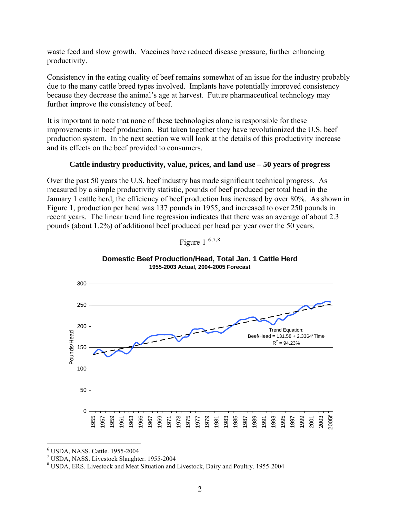waste feed and slow growth. Vaccines have reduced disease pressure, further enhancing productivity.

Consistency in the eating quality of beef remains somewhat of an issue for the industry probably due to the many cattle breed types involved. Implants have potentially improved consistency because they decrease the animal's age at harvest. Future pharmaceutical technology may further improve the consistency of beef.

It is important to note that none of these technologies alone is responsible for these improvements in beef production. But taken together they have revolutionized the U.S. beef production system. In the next section we will look at the details of this productivity increase and its effects on the beef provided to consumers.

#### **Cattle industry productivity, value, prices, and land use – 50 years of progress**

Over the past 50 years the U.S. beef industry has made significant technical progress. As measured by a simple productivity statistic, pounds of beef produced per total head in the January 1 cattle herd, the efficiency of beef production has increased by over 80%. As shown in Figure 1, production per head was 137 pounds in 1955, and increased to over 250 pounds in recent years. The linear trend line regression indicates that there was an average of about 2.3 pounds (about 1.2%) of additional beef produced per head per year over the 50 years.

Figure  $1^{6,7,8}$  $1^{6,7,8}$  $1^{6,7,8}$  $1^{6,7,8}$  $1^{6,7,8}$  $1^{6,7,8}$  $1^{6,7,8}$ 



**Domestic Beef Production/Head, Total Jan. 1 Cattle Herd 1955-2003 Actual, 2004-2005 Forecast**

 $\overline{a}$ 6 USDA, NASS. Cattle. 1955-2004

<span id="page-1-1"></span><span id="page-1-0"></span><sup>7</sup> USDA, NASS. Livestock Slaughter. 1955-2004

<span id="page-1-2"></span><sup>8</sup> USDA, ERS. Livestock and Meat Situation and Livestock, Dairy and Poultry. 1955-2004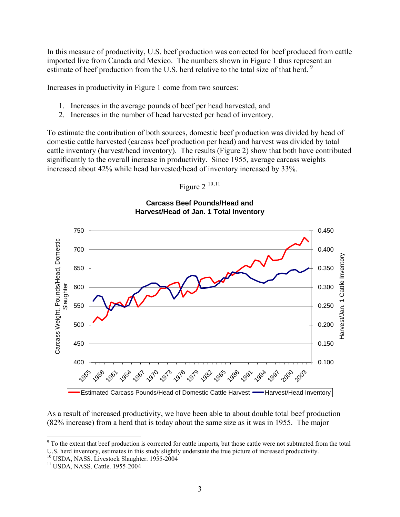In this measure of productivity, U.S. beef production was corrected for beef produced from cattle imported live from Canada and Mexico. The numbers shown in Figure 1 thus represent an estimate of beef production from the U.S. herd relative to the total size of that herd.<sup>[9](#page-2-0)</sup>

Increases in productivity in Figure 1 come from two sources:

- 1. Increases in the average pounds of beef per head harvested, and
- 2. Increases in the number of head harvested per head of inventory.

To estimate the contribution of both sources, domestic beef production was divided by head of domestic cattle harvested (carcass beef production per head) and harvest was divided by total cattle inventory (harvest/head inventory). The results (Figure 2) show that both have contributed significantly to the overall increase in productivity. Since 1955, average carcass weights increased about 42% while head harvested/head of inventory increased by 33%.

Figure  $2^{10,11}$  $2^{10,11}$  $2^{10,11}$  $2^{10,11}$  $2^{10,11}$ 

**Carcass Beef Pounds/Head and Harvest/Head of Jan. 1 Total Inventory**



As a result of increased productivity, we have been able to about double total beef production (82% increase) from a herd that is today about the same size as it was in 1955. The major

<u>.</u>

<span id="page-2-0"></span> $9^9$  To the extent that beef production is corrected for cattle imports, but those cattle were not subtracted from the total U.S. herd inventory, estimates in this study slightly understate the true picture of increased productivity.

<span id="page-2-1"></span><sup>&</sup>lt;sup>10</sup> USDA, NASS. Livestock Slaughter. 1955-2004

<span id="page-2-2"></span><sup>11</sup> USDA, NASS. Cattle. 1955-2004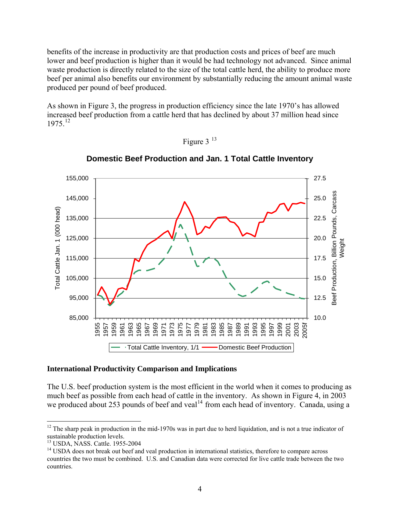benefits of the increase in productivity are that production costs and prices of beef are much lower and beef production is higher than it would be had technology not advanced. Since animal waste production is directly related to the size of the total cattle herd, the ability to produce more beef per animal also benefits our environment by substantially reducing the amount animal waste produced per pound of beef produced.

As shown in Figure 3, the progress in production efficiency since the late 1970's has allowed increased beef production from a cattle herd that has declined by about 37 million head since  $1975^{12}$  $1975^{12}$  $1975^{12}$ 





**Domestic Beef Production and Jan. 1 Total Cattle Inventory**

#### **International Productivity Comparison and Implications**

The U.S. beef production system is the most efficient in the world when it comes to producing as much beef as possible from each head of cattle in the inventory. As shown in Figure 4, in 2003 we produced about 253 pounds of beef and veal<sup>[14](#page-3-2)</sup> from each head of inventory. Canada, using a

1

<span id="page-3-0"></span> $12$  The sharp peak in production in the mid-1970s was in part due to herd liquidation, and is not a true indicator of sustainable production levels.

<span id="page-3-1"></span><sup>13</sup> USDA, NASS. Cattle. 1955-2004

<span id="page-3-2"></span><sup>&</sup>lt;sup>14</sup> USDA does not break out beef and veal production in international statistics, therefore to compare across countries the two must be combined. U.S. and Canadian data were corrected for live cattle trade between the two countries.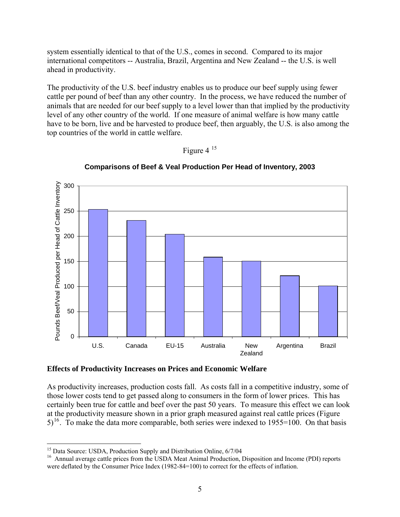system essentially identical to that of the U.S., comes in second. Compared to its major international competitors -- Australia, Brazil, Argentina and New Zealand -- the U.S. is well ahead in productivity.

The productivity of the U.S. beef industry enables us to produce our beef supply using fewer cattle per pound of beef than any other country. In the process, we have reduced the number of animals that are needed for our beef supply to a level lower than that implied by the productivity level of any other country of the world. If one measure of animal welfare is how many cattle have to be born, live and be harvested to produce beef, then arguably, the U.S. is also among the top countries of the world in cattle welfare.





**Comparisons of Beef & Veal Production Per Head of Inventory, 2003**

**Effects of Productivity Increases on Prices and Economic Welfare** 

As productivity increases, production costs fall. As costs fall in a competitive industry, some of those lower costs tend to get passed along to consumers in the form of lower prices. This has certainly been true for cattle and beef over the past 50 years. To measure this effect we can look at the productivity measure shown in a prior graph measured against real cattle prices (Figure  $5$ <sup>[16](#page-4-1)</sup>. To make the data more comparable, both series were indexed to 1955=100. On that basis

 $\overline{a}$ <sup>15</sup> Data Source: USDA, Production Supply and Distribution Online, 6/7/04

<span id="page-4-1"></span><span id="page-4-0"></span><sup>&</sup>lt;sup>16</sup> Annual average cattle prices from the USDA Meat Animal Production, Disposition and Income (PDI) reports were deflated by the Consumer Price Index (1982-84=100) to correct for the effects of inflation.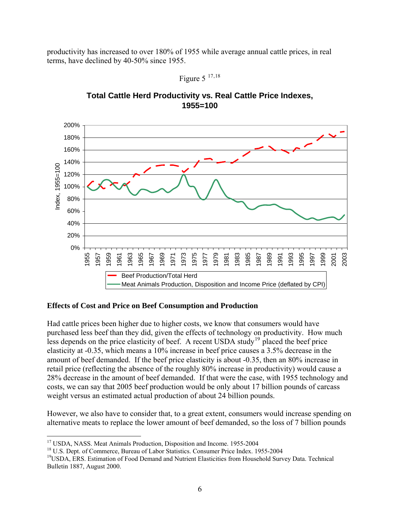productivity has increased to over 180% of 1955 while average annual cattle prices, in real terms, have declined by 40-50% since 1955.





# **Total Cattle Herd Productivity vs. Real Cattle Price Indexes, 1955=100**

#### **Effects of Cost and Price on Beef Consumption and Production**

Had cattle prices been higher due to higher costs, we know that consumers would have purchased less beef than they did, given the effects of technology on productivity. How much less depends on the price elasticity of beef. A recent USDA study<sup>[19](#page-5-2)</sup> placed the beef price elasticity at -0.35, which means a 10% increase in beef price causes a 3.5% decrease in the amount of beef demanded. If the beef price elasticity is about -0.35, then an 80% increase in retail price (reflecting the absence of the roughly 80% increase in productivity) would cause a 28% decrease in the amount of beef demanded. If that were the case, with 1955 technology and costs, we can say that 2005 beef production would be only about 17 billion pounds of carcass weight versus an estimated actual production of about 24 billion pounds.

However, we also have to consider that, to a great extent, consumers would increase spending on alternative meats to replace the lower amount of beef demanded, so the loss of 7 billion pounds

<span id="page-5-0"></span><sup>&</sup>lt;sup>17</sup> USDA, NASS. Meat Animals Production, Disposition and Income. 1955-2004

<span id="page-5-1"></span><sup>&</sup>lt;sup>18</sup> U.S. Dept. of Commerce, Bureau of Labor Statistics. Consumer Price Index. 1955-2004

<span id="page-5-2"></span><sup>&</sup>lt;sup>19</sup>USDA, ERS. Estimation of Food Demand and Nutrient Elasticities from Household Survey Data. Technical Bulletin 1887, August 2000.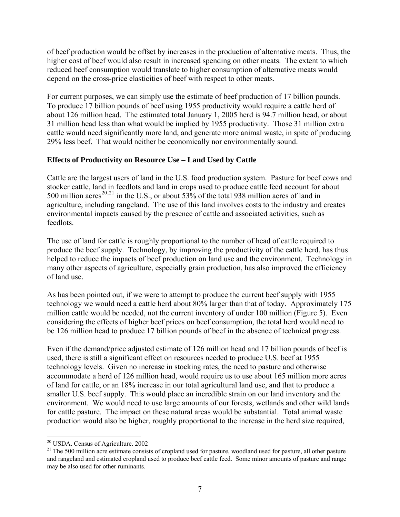of beef production would be offset by increases in the production of alternative meats. Thus, the higher cost of beef would also result in increased spending on other meats. The extent to which reduced beef consumption would translate to higher consumption of alternative meats would depend on the cross-price elasticities of beef with respect to other meats.

For current purposes, we can simply use the estimate of beef production of 17 billion pounds. To produce 17 billion pounds of beef using 1955 productivity would require a cattle herd of about 126 million head. The estimated total January 1, 2005 herd is 94.7 million head, or about 31 million head less than what would be implied by 1955 productivity. Those 31 million extra cattle would need significantly more land, and generate more animal waste, in spite of producing 29% less beef. That would neither be economically nor environmentally sound.

## **Effects of Productivity on Resource Use – Land Used by Cattle**

Cattle are the largest users of land in the U.S. food production system. Pasture for beef cows and stocker cattle, land in feedlots and land in crops used to produce cattle feed account for about 500 million acres<sup>[20](#page-6-0),[21](#page-6-1)</sup> in the U.S., or about 53% of the total 938 million acres of land in agriculture, including rangeland. The use of this land involves costs to the industry and creates environmental impacts caused by the presence of cattle and associated activities, such as feedlots.

The use of land for cattle is roughly proportional to the number of head of cattle required to produce the beef supply. Technology, by improving the productivity of the cattle herd, has thus helped to reduce the impacts of beef production on land use and the environment. Technology in many other aspects of agriculture, especially grain production, has also improved the efficiency of land use.

As has been pointed out, if we were to attempt to produce the current beef supply with 1955 technology we would need a cattle herd about 80% larger than that of today. Approximately 175 million cattle would be needed, not the current inventory of under 100 million (Figure 5). Even considering the effects of higher beef prices on beef consumption, the total herd would need to be 126 million head to produce 17 billion pounds of beef in the absence of technical progress.

Even if the demand/price adjusted estimate of 126 million head and 17 billion pounds of beef is used, there is still a significant effect on resources needed to produce U.S. beef at 1955 technology levels. Given no increase in stocking rates, the need to pasture and otherwise accommodate a herd of 126 million head, would require us to use about 165 million more acres of land for cattle, or an 18% increase in our total agricultural land use, and that to produce a smaller U.S. beef supply. This would place an incredible strain on our land inventory and the environment. We would need to use large amounts of our forests, wetlands and other wild lands for cattle pasture. The impact on these natural areas would be substantial. Total animal waste production would also be higher, roughly proportional to the increase in the herd size required,

 $\overline{a}$ 

<sup>&</sup>lt;sup>20</sup> USDA. Census of Agriculture. 2002

<span id="page-6-1"></span><span id="page-6-0"></span><sup>&</sup>lt;sup>21</sup> The 500 million acre estimate consists of cropland used for pasture, woodland used for pasture, all other pasture and rangeland and estimated cropland used to produce beef cattle feed. Some minor amounts of pasture and range may be also used for other ruminants.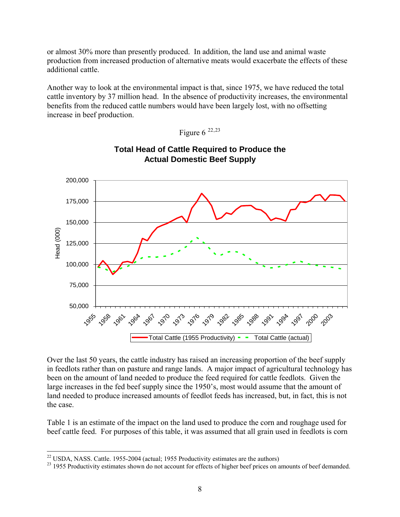or almost 30% more than presently produced. In addition, the land use and animal waste production from increased production of alternative meats would exacerbate the effects of these additional cattle.

Another way to look at the environmental impact is that, since 1975, we have reduced the total cattle inventory by 37 million head. In the absence of productivity increases, the environmental benefits from the reduced cattle numbers would have been largely lost, with no offsetting increase in beef production.



**Total Head of Cattle Required to Produce the Actual Domestic Beef Supply**

Figure  $6^{22,23}$  $6^{22,23}$  $6^{22,23}$  $6^{22,23}$  $6^{22,23}$ 

Over the last 50 years, the cattle industry has raised an increasing proportion of the beef supply in feedlots rather than on pasture and range lands. A major impact of agricultural technology has been on the amount of land needed to produce the feed required for cattle feedlots. Given the large increases in the fed beef supply since the 1950's, most would assume that the amount of land needed to produce increased amounts of feedlot feeds has increased, but, in fact, this is not the case.

Table 1 is an estimate of the impact on the land used to produce the corn and roughage used for beef cattle feed. For purposes of this table, it was assumed that all grain used in feedlots is corn

<span id="page-7-0"></span><sup>&</sup>lt;sup>22</sup> USDA, NASS. Cattle. 1955-2004 (actual; 1955 Productivity estimates are the authors)

<span id="page-7-1"></span><sup>&</sup>lt;sup>23</sup> 1955 Productivity estimates shown do not account for effects of higher beef prices on amounts of beef demanded.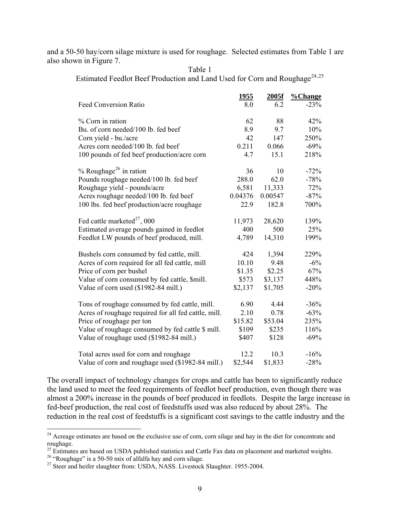and a 50-50 hay/corn silage mixture is used for roughage. Selected estimates from Table 1 are also shown in Figure 7.

|                                                      | <u> 1955 </u> | 2005f   | %Change |
|------------------------------------------------------|---------------|---------|---------|
| <b>Feed Conversion Ratio</b>                         | 8.0           | 6.2     | $-23%$  |
|                                                      |               |         |         |
| % Corn in ration                                     | 62            | 88      | 42%     |
| Bu. of corn needed/100 lb. fed beef                  | 8.9           | 9.7     | 10%     |
| Corn yield - bu./acre                                | 42            | 147     | 250%    |
| Acres corn needed/100 lb. fed beef                   | 0.211         | 0.066   | $-69%$  |
| 100 pounds of fed beef production/acre corn          | 4.7           | 15.1    | 218%    |
| % Roughage <sup>26</sup> in ration                   | 36            | 10      | $-72%$  |
| Pounds roughage needed/100 lb. fed beef              | 288.0         | 62.0    | $-78%$  |
| Roughage yield - pounds/acre                         | 6,581         | 11,333  | 72%     |
| Acres roughage needed/100 lb. fed beef               | 0.04376       | 0.00547 | $-87%$  |
| 100 lbs. fed beef production/acre roughage           | 22.9          | 182.8   | 700%    |
|                                                      |               |         |         |
| Fed cattle marketed <sup>27</sup> , 000              | 11,973        | 28,620  | 139%    |
| Estimated average pounds gained in feedlot           | 400           | 500     | 25%     |
| Feedlot LW pounds of beef produced, mill.            | 4,789         | 14,310  | 199%    |
|                                                      |               |         |         |
| Bushels corn consumed by fed cattle, mill.           | 424           | 1,394   | 229%    |
| Acres of corn required for all fed cattle, mill      | 10.10         | 9.48    | $-6%$   |
| Price of corn per bushel                             | \$1.35        | \$2.25  | 67%     |
| Value of corn consumed by fed cattle, \$mill.        | \$573         | \$3,137 | 448%    |
| Value of corn used (\$1982-84 mill.)                 | \$2,137       | \$1,705 | $-20%$  |
| Tons of roughage consumed by fed cattle, mill.       | 6.90          | 4.44    | $-36%$  |
| Acres of roughage required for all fed cattle, mill. | 2.10          | 0.78    | $-63%$  |
| Price of roughage per ton                            | \$15.82       | \$53.04 | 235%    |
| Value of roughage consumed by fed cattle \$ mill.    | \$109         | \$235   | 116%    |
| Value of roughage used (\$1982-84 mill.)             | \$407         | \$128   | $-69%$  |
|                                                      |               |         |         |
| Total acres used for corn and roughage               | 12.2          | 10.3    | $-16%$  |
| Value of corn and roughage used (\$1982-84 mill.)    | \$2,544       | \$1,833 | $-28%$  |

Table 1 Estimated Feedlot Beef Production and Land Used for Corn and Roughage<sup>[24](#page-8-0),[25](#page-8-1)</sup>

The overall impact of technology changes for crops and cattle has been to significantly reduce the land used to meet the feed requirements of feedlot beef production, even though there was almost a 200% increase in the pounds of beef produced in feedlots. Despite the large increase in fed-beef production, the real cost of feedstuffs used was also reduced by about 28%. The reduction in the real cost of feedstuffs is a significant cost savings to the cattle industry and the

 $\overline{a}$ 

<span id="page-8-0"></span><sup>&</sup>lt;sup>24</sup> Acreage estimates are based on the exclusive use of corn, corn silage and hay in the diet for concentrate and roughage.

<span id="page-8-2"></span><span id="page-8-1"></span><sup>&</sup>lt;sup>25</sup> Estimates are based on USDA published statistics and Cattle Fax data on placement and marketed weights.<br><sup>26</sup> "Roughage" is a 50-50 mix of alfalfa hay and corn silage.

<span id="page-8-3"></span><sup>&</sup>lt;sup>27</sup> Steer and heifer slaughter from: USDA, NASS. Livestock Slaughter. 1955-2004.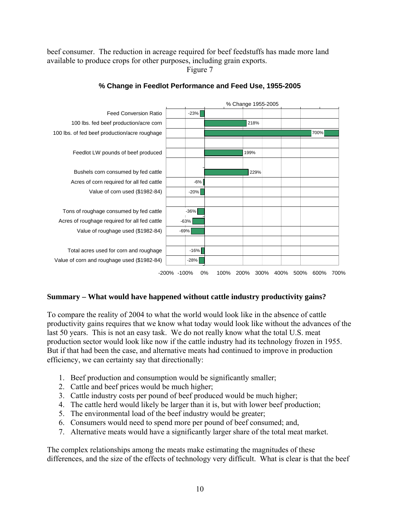beef consumer. The reduction in acreage required for beef feedstuffs has made more land available to produce crops for other purposes, including grain exports.

Figure 7



#### **% Change in Feedlot Performance and Feed Use, 1955-2005**

## **Summary – What would have happened without cattle industry productivity gains?**

To compare the reality of 2004 to what the world would look like in the absence of cattle productivity gains requires that we know what today would look like without the advances of the last 50 years. This is not an easy task. We do not really know what the total U.S. meat production sector would look like now if the cattle industry had its technology frozen in 1955. But if that had been the case, and alternative meats had continued to improve in production efficiency, we can certainty say that directionally:

- 1. Beef production and consumption would be significantly smaller;
- 2. Cattle and beef prices would be much higher;
- 3. Cattle industry costs per pound of beef produced would be much higher;
- 4. The cattle herd would likely be larger than it is, but with lower beef production;
- 5. The environmental load of the beef industry would be greater;
- 6. Consumers would need to spend more per pound of beef consumed; and,
- 7. Alternative meats would have a significantly larger share of the total meat market.

The complex relationships among the meats make estimating the magnitudes of these differences, and the size of the effects of technology very difficult. What is clear is that the beef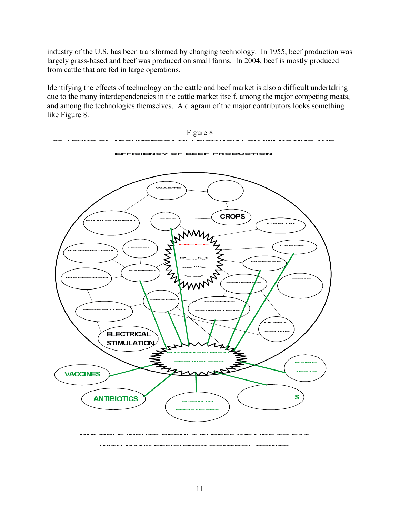industry of the U.S. has been transformed by changing technology. In 1955, beef production was largely grass-based and beef was produced on small farms. In 2004, beef is mostly produced from cattle that are fed in large operations.

Identifying the effects of technology on the cattle and beef market is also a difficult undertaking due to the many interdependencies in the cattle market itself, among the major competing meats, and among the technologies themselves. A diagram of the major contributors looks something like Figure 8.

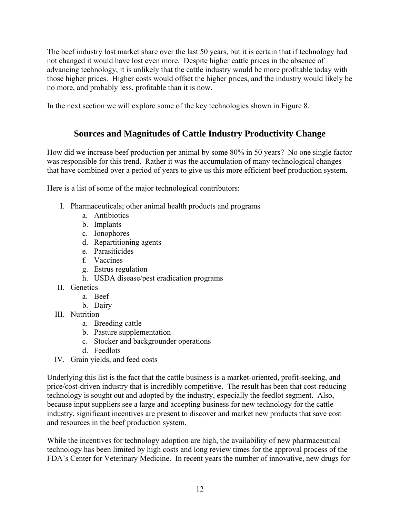The beef industry lost market share over the last 50 years, but it is certain that if technology had not changed it would have lost even more. Despite higher cattle prices in the absence of advancing technology, it is unlikely that the cattle industry would be more profitable today with those higher prices. Higher costs would offset the higher prices, and the industry would likely be no more, and probably less, profitable than it is now.

In the next section we will explore some of the key technologies shown in Figure 8.

# **Sources and Magnitudes of Cattle Industry Productivity Change**

How did we increase beef production per animal by some 80% in 50 years? No one single factor was responsible for this trend. Rather it was the accumulation of many technological changes that have combined over a period of years to give us this more efficient beef production system.

Here is a list of some of the major technological contributors:

- I. Pharmaceuticals; other animal health products and programs
	- a. Antibiotics
	- b. Implants
	- c. Ionophores
	- d. Repartitioning agents
	- e. Parasiticides
	- f. Vaccines
	- g. Estrus regulation
	- h. USDA disease/pest eradication programs
- II. Genetics
	- a. Beef
	- b. Dairy
- III. Nutrition
	- a. Breeding cattle
	- b. Pasture supplementation
	- c. Stocker and backgrounder operations
	- d. Feedlots
- IV. Grain yields, and feed costs

Underlying this list is the fact that the cattle business is a market-oriented, profit-seeking, and price/cost-driven industry that is incredibly competitive. The result has been that cost-reducing technology is sought out and adopted by the industry, especially the feedlot segment. Also, because input suppliers see a large and accepting business for new technology for the cattle industry, significant incentives are present to discover and market new products that save cost and resources in the beef production system.

While the incentives for technology adoption are high, the availability of new pharmaceutical technology has been limited by high costs and long review times for the approval process of the FDA's Center for Veterinary Medicine. In recent years the number of innovative, new drugs for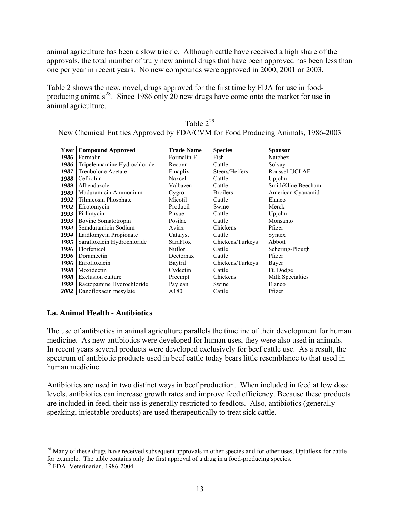animal agriculture has been a slow trickle. Although cattle have received a high share of the approvals, the total number of truly new animal drugs that have been approved has been less than one per year in recent years. No new compounds were approved in 2000, 2001 or 2003.

Table 2 shows the new, novel, drugs approved for the first time by FDA for use in food-producing animals<sup>[28](#page-12-0)</sup>. Since 1986 only 20 new drugs have come onto the market for use in animal agriculture.

| Table $2^{29}$                                                                  |
|---------------------------------------------------------------------------------|
| New Chemical Entities Approved by FDA/CVM for Food Producing Animals, 1986-2003 |

| Year | <b>Compound Approved</b>     | <b>Trade Name</b> | <b>Species</b>   | <b>Sponsor</b>     |
|------|------------------------------|-------------------|------------------|--------------------|
| 1986 | Formalin                     | Formalin-F        | Fish             | Natchez            |
| 1986 | Tripelennamine Hydrochloride | Recovr            | Cattle           | Solvay             |
| 1987 | Trenbolone Acetate           | Finaplix          | Steers/Heifers   | Roussel-UCLAF      |
| 1988 | Ceftiofur                    | Naxcel            | Cattle           | Upjohn             |
| 1989 | Albendazole                  | Valbazen          | Cattle           | SmithKline Beecham |
| 1989 | Maduramicin Ammonium         | Cygro             | <b>Broilers</b>  | American Cyanamid  |
| 1992 | Tilmicosin Phosphate         | Micotil           | Cattle           | Elanco             |
| 1992 | Efrotomycin                  | Producil          | Swine            | Merck              |
| 1993 | Pirlimycin                   | Pirsue            | Cattle           | Upjohn             |
| 1993 | Bovine Somatotropin          | Posilac           | Cattle           | Monsanto           |
| 1994 | Semduramicin Sodium          | Aviax             | Chickens         | Pfizer             |
| 1994 | Laidlomycin Propionate       | Catalyst          | Cattle           | Syntex             |
| 1995 | Sarafloxacin Hydrochloride   | SaraFlox          | Chickens/Turkeys | Abbott             |
| 1996 | Florfenicol                  | Nuflor            | Cattle           | Schering-Plough    |
| 1996 | Doramectin                   | Dectomax          | Cattle           | Pfizer             |
| 1996 | Enrofloxacin                 | Baytril           | Chickens/Turkeys | Bayer              |
| 1998 | Moxidectin                   | Cydectin          | Cattle           | Ft. Dodge          |
| 1998 | Exclusion culture            | Preempt           | Chickens         | Milk Specialties   |
| 1999 | Ractopamine Hydrochloride    | Paylean           | Swine            | Elanco             |
| 2002 | Danofloxacin mesylate        | A180              | Cattle           | Pfizer             |

## **I.a. Animal Health - Antibiotics**

The use of antibiotics in animal agriculture parallels the timeline of their development for human medicine. As new antibiotics were developed for human uses, they were also used in animals. In recent years several products were developed exclusively for beef cattle use. As a result, the spectrum of antibiotic products used in beef cattle today bears little resemblance to that used in human medicine.

Antibiotics are used in two distinct ways in beef production. When included in feed at low dose levels, antibiotics can increase growth rates and improve feed efficiency. Because these products are included in feed, their use is generally restricted to feedlots. Also, antibiotics (generally speaking, injectable products) are used therapeutically to treat sick cattle.

1

<span id="page-12-0"></span><sup>&</sup>lt;sup>28</sup> Many of these drugs have received subsequent approvals in other species and for other uses, Optaflexx for cattle for example. The table contains only the first approval of a drug in a food-producing species.<br><sup>29</sup> FDA. Veterinarian. 1986-2004

<span id="page-12-1"></span>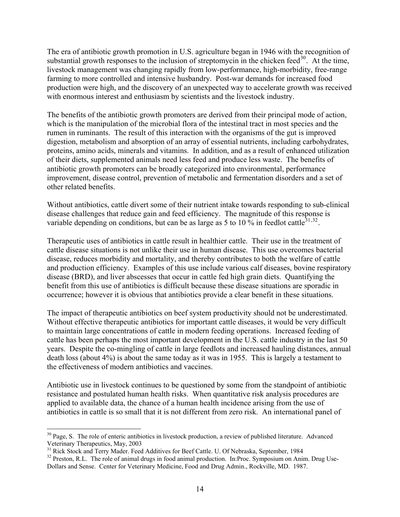The era of antibiotic growth promotion in U.S. agriculture began in 1946 with the recognition of substantial growth responses to the inclusion of streptomycin in the chicken feed $^{30}$  $^{30}$  $^{30}$ . At the time, livestock management was changing rapidly from low-performance, high-morbidity, free-range farming to more controlled and intensive husbandry. Post-war demands for increased food production were high, and the discovery of an unexpected way to accelerate growth was received with enormous interest and enthusiasm by scientists and the livestock industry.

The benefits of the antibiotic growth promoters are derived from their principal mode of action, which is the manipulation of the microbial flora of the intestinal tract in most species and the rumen in ruminants. The result of this interaction with the organisms of the gut is improved digestion, metabolism and absorption of an array of essential nutrients, including carbohydrates, proteins, amino acids, minerals and vitamins. In addition, and as a result of enhanced utilization of their diets, supplemented animals need less feed and produce less waste. The benefits of antibiotic growth promoters can be broadly categorized into environmental, performance improvement, disease control, prevention of metabolic and fermentation disorders and a set of other related benefits.

Without antibiotics, cattle divert some of their nutrient intake towards responding to sub-clinical disease challenges that reduce gain and feed efficiency. The magnitude of this response is variable depending on conditions, but can be as large as 5 to 10 % in feedlot cattle<sup>[31](#page-13-1),[32](#page-13-2)</sup>.

Therapeutic uses of antibiotics in cattle result in healthier cattle. Their use in the treatment of cattle disease situations is not unlike their use in human disease. This use overcomes bacterial disease, reduces morbidity and mortality, and thereby contributes to both the welfare of cattle and production efficiency. Examples of this use include various calf diseases, bovine respiratory disease (BRD), and liver abscesses that occur in cattle fed high grain diets. Quantifying the benefit from this use of antibiotics is difficult because these disease situations are sporadic in occurrence; however it is obvious that antibiotics provide a clear benefit in these situations.

The impact of therapeutic antibiotics on beef system productivity should not be underestimated. Without effective therapeutic antibiotics for important cattle diseases, it would be very difficult to maintain large concentrations of cattle in modern feeding operations. Increased feeding of cattle has been perhaps the most important development in the U.S. cattle industry in the last 50 years. Despite the co-mingling of cattle in large feedlots and increased hauling distances, annual death loss (about 4%) is about the same today as it was in 1955. This is largely a testament to the effectiveness of modern antibiotics and vaccines.

Antibiotic use in livestock continues to be questioned by some from the standpoint of antibiotic resistance and postulated human health risks. When quantitative risk analysis procedures are applied to available data, the chance of a human health incidence arising from the use of antibiotics in cattle is so small that it is not different from zero risk. An international panel of

1

<span id="page-13-0"></span><sup>&</sup>lt;sup>30</sup> Page, S. The role of enteric antibiotics in livestock production, a review of published literature. Advanced Veterinary Therapeutics, May, 2003<br><sup>31</sup> Rick Stock and Terry Mader. Feed Additives for Beef Cattle. U. Of Nebraska, September, 1984

<span id="page-13-1"></span>

<span id="page-13-2"></span><sup>&</sup>lt;sup>32</sup> Preston, R.L. The role of animal drugs in food animal production. In:Proc. Symposium on Anim. Drug Use-Dollars and Sense. Center for Veterinary Medicine, Food and Drug Admin., Rockville, MD. 1987.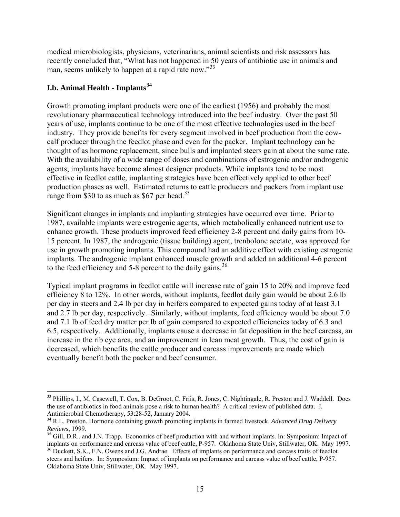medical microbiologists, physicians, veterinarians, animal scientists and risk assessors has recently concluded that, "What has not happened in 50 years of antibiotic use in animals and man, seems unlikely to happen at a rapid rate now."<sup>[33](#page-14-0)</sup>

## **I.b. Animal Health - Implants[34](#page-14-1)**

 $\overline{a}$ 

Growth promoting implant products were one of the earliest (1956) and probably the most revolutionary pharmaceutical technology introduced into the beef industry. Over the past 50 years of use, implants continue to be one of the most effective technologies used in the beef industry. They provide benefits for every segment involved in beef production from the cowcalf producer through the feedlot phase and even for the packer. Implant technology can be thought of as hormone replacement, since bulls and implanted steers gain at about the same rate. With the availability of a wide range of doses and combinations of estrogenic and/or androgenic agents, implants have become almost designer products. While implants tend to be most effective in feedlot cattle, implanting strategies have been effectively applied to other beef production phases as well. Estimated returns to cattle producers and packers from implant use range from \$30 to as much as \$67 per head.<sup>[35](#page-14-2)</sup>

Significant changes in implants and implanting strategies have occurred over time. Prior to 1987, available implants were estrogenic agents, which metabolically enhanced nutrient use to enhance growth. These products improved feed efficiency 2-8 percent and daily gains from 10- 15 percent. In 1987, the androgenic (tissue building) agent, trenbolone acetate, was approved for use in growth promoting implants. This compound had an additive effect with existing estrogenic implants. The androgenic implant enhanced muscle growth and added an additional 4-6 percent to the feed efficiency and  $5-8$  percent to the daily gains.<sup>[36](#page-14-3)</sup>

Typical implant programs in feedlot cattle will increase rate of gain 15 to 20% and improve feed efficiency 8 to 12%. In other words, without implants, feedlot daily gain would be about 2.6 lb per day in steers and 2.4 lb per day in heifers compared to expected gains today of at least 3.1 and 2.7 lb per day, respectively. Similarly, without implants, feed efficiency would be about 7.0 and 7.1 lb of feed dry matter per lb of gain compared to expected efficiencies today of 6.3 and 6.5, respectively. Additionally, implants cause a decrease in fat deposition in the beef carcass, an increase in the rib eye area, and an improvement in lean meat growth. Thus, the cost of gain is decreased, which benefits the cattle producer and carcass improvements are made which eventually benefit both the packer and beef consumer.

<span id="page-14-0"></span><sup>&</sup>lt;sup>33</sup> Phillips, I., M. Casewell, T. Cox, B. DeGroot, C. Friis, R. Jones, C. Nightingale, R. Preston and J. Waddell. Does the use of antibiotics in food animals pose a risk to human health? A critical review of published data. J. Antimicrobial Chemotherapy, 53:28-52, January 2004.

<span id="page-14-1"></span><sup>&</sup>lt;sup>34</sup> R.L. Preston. Hormone containing growth promoting implants in farmed livestock. *Advanced Drug Delivery Reviews*. 1999.

<span id="page-14-2"></span><sup>&</sup>lt;sup>35</sup> Gill, D.R.. and J.N. Trapp. Economics of beef production with and without implants. In: Symposium: Impact of implants on performance and carcass value of beef cattle, P-957. Oklahoma State Univ, Stillwater, OK. May 19

<span id="page-14-3"></span><sup>&</sup>lt;sup>36</sup> Duckett, S.K., F.N. Owens and J.G. Andrae. Effects of implants on performance and carcass traits of feedlot steers and heifers. In: Symposium: Impact of implants on performance and carcass value of beef cattle, P-957. Oklahoma State Univ, Stillwater, OK. May 1997.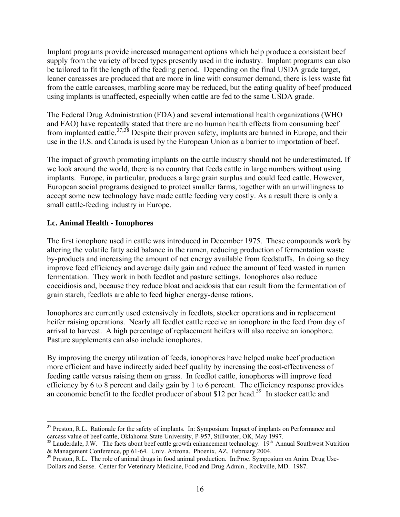Implant programs provide increased management options which help produce a consistent beef supply from the variety of breed types presently used in the industry. Implant programs can also be tailored to fit the length of the feeding period. Depending on the final USDA grade target, leaner carcasses are produced that are more in line with consumer demand, there is less waste fat from the cattle carcasses, marbling score may be reduced, but the eating quality of beef produced using implants is unaffected, especially when cattle are fed to the same USDA grade.

The Federal Drug Administration (FDA) and several international health organizations (WHO and FAO) have repeatedly stated that there are no human health effects from consuming beef from implanted cattle.[37](#page-15-0),[38](#page-15-1) Despite their proven safety, implants are banned in Europe, and their use in the U.S. and Canada is used by the European Union as a barrier to importation of beef.

The impact of growth promoting implants on the cattle industry should not be underestimated. If we look around the world, there is no country that feeds cattle in large numbers without using implants. Europe, in particular, produces a large grain surplus and could feed cattle. However, European social programs designed to protect smaller farms, together with an unwillingness to accept some new technology have made cattle feeding very costly. As a result there is only a small cattle-feeding industry in Europe.

## **I.c. Animal Health - Ionophores**

The first ionophore used in cattle was introduced in December 1975. These compounds work by altering the volatile fatty acid balance in the rumen, reducing production of fermentation waste by-products and increasing the amount of net energy available from feedstuffs. In doing so they improve feed efficiency and average daily gain and reduce the amount of feed wasted in rumen fermentation. They work in both feedlot and pasture settings. Ionophores also reduce coccidiosis and, because they reduce bloat and acidosis that can result from the fermentation of grain starch, feedlots are able to feed higher energy-dense rations.

Ionophores are currently used extensively in feedlots, stocker operations and in replacement heifer raising operations. Nearly all feedlot cattle receive an ionophore in the feed from day of arrival to harvest. A high percentage of replacement heifers will also receive an ionophore. Pasture supplements can also include ionophores.

By improving the energy utilization of feeds, ionophores have helped make beef production more efficient and have indirectly aided beef quality by increasing the cost-effectiveness of feeding cattle versus raising them on grass. In feedlot cattle, ionophores will improve feed efficiency by 6 to 8 percent and daily gain by 1 to 6 percent. The efficiency response provides an economic benefit to the feedlot producer of about \$12 per head.<sup>[39](#page-15-2)</sup> In stocker cattle and

<span id="page-15-0"></span> $\overline{a}$ <sup>37</sup> Preston, R.L. Rationale for the safety of implants. In: Symposium: Impact of implants on Performance and carcass value of beef cattle, Oklahoma State University, P-957, Stillwater, OK, May 1997.

<span id="page-15-1"></span><sup>&</sup>lt;sup>38</sup> Lauderdale, J.W. The facts about beef cattle growth enhancement technology.  $19<sup>th</sup>$  Annual Southwest Nutrition & Management Conference, pp 61-64. Univ. Arizona. Phoenix, AZ. February 2004.

<span id="page-15-2"></span><sup>&</sup>lt;sup>39</sup> Preston, R.L. The role of animal drugs in food animal production. In:Proc. Symposium on Anim. Drug Use-Dollars and Sense. Center for Veterinary Medicine, Food and Drug Admin., Rockville, MD. 1987.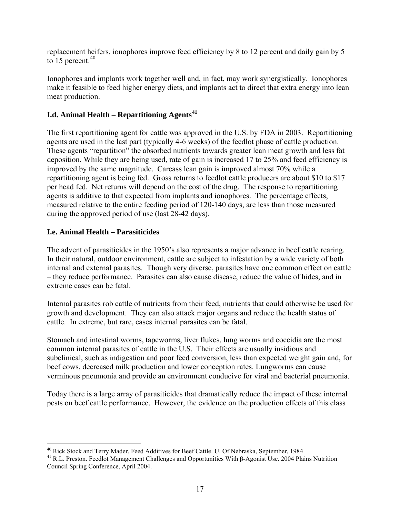replacement heifers, ionophores improve feed efficiency by 8 to 12 percent and daily gain by 5 to 15 percent. $40$ 

Ionophores and implants work together well and, in fact, may work synergistically. Ionophores make it feasible to feed higher energy diets, and implants act to direct that extra energy into lean meat production.

# **I.d. Animal Health – Repartitioning Agents[41](#page-16-1)**

The first repartitioning agent for cattle was approved in the U.S. by FDA in 2003. Repartitioning agents are used in the last part (typically 4-6 weeks) of the feedlot phase of cattle production. These agents "repartition" the absorbed nutrients towards greater lean meat growth and less fat deposition. While they are being used, rate of gain is increased 17 to 25% and feed efficiency is improved by the same magnitude. Carcass lean gain is improved almost 70% while a repartitioning agent is being fed. Gross returns to feedlot cattle producers are about \$10 to \$17 per head fed. Net returns will depend on the cost of the drug. The response to repartitioning agents is additive to that expected from implants and ionophores. The percentage effects, measured relative to the entire feeding period of 120-140 days, are less than those measured during the approved period of use (last 28-42 days).

## **I.e. Animal Health – Parasiticides**

The advent of parasiticides in the 1950's also represents a major advance in beef cattle rearing. In their natural, outdoor environment, cattle are subject to infestation by a wide variety of both internal and external parasites. Though very diverse, parasites have one common effect on cattle – they reduce performance. Parasites can also cause disease, reduce the value of hides, and in extreme cases can be fatal.

Internal parasites rob cattle of nutrients from their feed, nutrients that could otherwise be used for growth and development. They can also attack major organs and reduce the health status of cattle. In extreme, but rare, cases internal parasites can be fatal.

Stomach and intestinal worms, tapeworms, liver flukes, lung worms and coccidia are the most common internal parasites of cattle in the U.S. Their effects are usually insidious and subclinical, such as indigestion and poor feed conversion, less than expected weight gain and, for beef cows, decreased milk production and lower conception rates. Lungworms can cause verminous pneumonia and provide an environment conducive for viral and bacterial pneumonia.

Today there is a large array of parasiticides that dramatically reduce the impact of these internal pests on beef cattle performance. However, the evidence on the production effects of this class

<sup>&</sup>lt;sup>40</sup> Rick Stock and Terry Mader. Feed Additives for Beef Cattle. U. Of Nebraska, September, 1984

<span id="page-16-1"></span><span id="page-16-0"></span><sup>&</sup>lt;sup>41</sup> R.L. Preston. Feedlot Management Challenges and Opportunities With β-Agonist Use. 2004 Plains Nutrition Council Spring Conference, April 2004.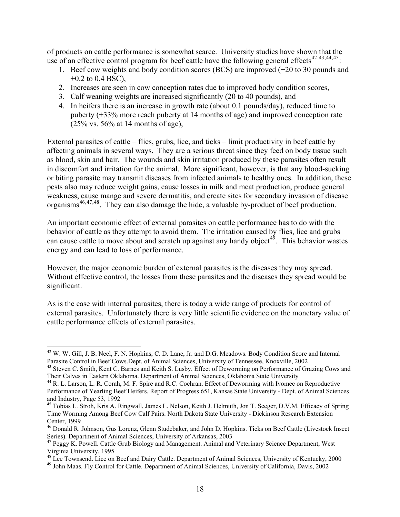of products on cattle performance is somewhat scarce. University studies have shown that the use of an effective control program for beef cattle have the following general effects<sup>[42](#page-17-0),[43](#page-17-1),[44](#page-17-2),[45](#page-17-3)</sup>:

- 1. Beef cow weights and body condition scores (BCS) are improved (+20 to 30 pounds and  $+0.2$  to 0.4 BSC),
- 2. Increases are seen in cow conception rates due to improved body condition scores,
- 3. Calf weaning weights are increased significantly (20 to 40 pounds), and
- 4. In heifers there is an increase in growth rate (about 0.1 pounds/day), reduced time to puberty (+33% more reach puberty at 14 months of age) and improved conception rate  $(25\% \text{ vs. } 56\% \text{ at } 14 \text{ months of age}),$

External parasites of cattle – flies, grubs, lice, and ticks – limit productivity in beef cattle by affecting animals in several ways. They are a serious threat since they feed on body tissue such as blood, skin and hair. The wounds and skin irritation produced by these parasites often result in discomfort and irritation for the animal. More significant, however, is that any blood-sucking or biting parasite may transmit diseases from infected animals to healthy ones. In addition, these pests also may reduce weight gains, cause losses in milk and meat production, produce general weakness, cause mange and severe dermatitis, and create sites for secondary invasion of disease organisms<sup>[46](#page-17-4),[47](#page-17-5),[48](#page-17-6)</sup>. They can also damage the hide, a valuable by-product of beef production.

An important economic effect of external parasites on cattle performance has to do with the behavior of cattle as they attempt to avoid them. The irritation caused by flies, lice and grubs can cause cattle to move about and scratch up against any handy object<sup> $49$ </sup>. This behavior wastes energy and can lead to loss of performance.

However, the major economic burden of external parasites is the diseases they may spread. Without effective control, the losses from these parasites and the diseases they spread would be significant.

As is the case with internal parasites, there is today a wide range of products for control of external parasites. Unfortunately there is very little scientific evidence on the monetary value of cattle performance effects of external parasites.

 $\overline{a}$ 

<span id="page-17-0"></span><sup>&</sup>lt;sup>42</sup> W. W. Gill, J. B. Neel, F. N. Hopkins, C. D. Lane, Jr. and D.G. Meadows. Body Condition Score and Internal Parasite Control in Beef Cows.Dept. of Animal Sciences, University of Tennessee, Knoxville, 2002<br><sup>43</sup> Steven C. Smith, Kent C. Barnes and Keith S. Lusby. Effect of Deworming on Performance of Grazing Cows and

<span id="page-17-1"></span>Their Calves in Eastern Oklahoma. Department of Animal Sciences, Oklahoma State University <sup>44</sup> R. L. Larson, L. R. Corah, M. F. Spire and R.C. Cochran. Effect of Deworming with Ivomec on Reproductive

<span id="page-17-2"></span>Performance of Yearling Beef Heifers. Report of Progress 651, Kansas State University - Dept. of Animal Sciences and Industry, Page 53, 1992

<span id="page-17-3"></span><sup>45</sup> Tobias L. Stroh, Kris A. Ringwall, James L. Nelson, Keith J. Helmuth, Jon T. Seeger, D.V.M. Efficacy of Spring Time Worming Among Beef Cow Calf Pairs. North Dakota State University - Dickinson Research Extension Center, 1999

<span id="page-17-4"></span><sup>&</sup>lt;sup>46</sup> Donald R. Johnson, Gus Lorenz, Glenn Studebaker, and John D. Hopkins. Ticks on Beef Cattle (Livestock Insect Series). Department of Animal Sciences, University of Arkansas, 2003

<span id="page-17-5"></span><sup>&</sup>lt;sup>47</sup> Peggy K. Powell. Cattle Grub Biology and Management. Animal and Veterinary Science Department, West Virginia University, 1995<br><sup>48</sup> Lee Townsend. Lice on Beef and Dairy Cattle. Department of Animal Sciences, University of Kentucky, 2000

<span id="page-17-7"></span><span id="page-17-6"></span><sup>&</sup>lt;sup>49</sup> John Maas. Fly Control for Cattle. Department of Animal Sciences, University of California, Davis, 2002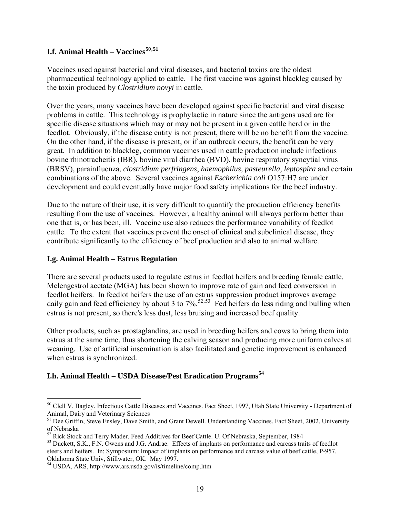# **I.f. Animal Health – Vaccines[50](#page-18-0),[51](#page-18-1)**

Vaccines used against bacterial and viral diseases, and bacterial toxins are the oldest pharmaceutical technology applied to cattle. The first vaccine was against blackleg caused by the toxin produced by *Clostridium novyi* in cattle.

Over the years, many vaccines have been developed against specific bacterial and viral disease problems in cattle. This technology is prophylactic in nature since the antigens used are for specific disease situations which may or may not be present in a given cattle herd or in the feedlot. Obviously, if the disease entity is not present, there will be no benefit from the vaccine. On the other hand, if the disease is present, or if an outbreak occurs, the benefit can be very great. In addition to blackleg, common vaccines used in cattle production include infectious bovine rhinotracheitis (IBR), bovine viral diarrhea (BVD), bovine respiratory syncytial virus (BRSV), parainfluenza, *clostridium perfringens*, *haemophilus, pasteurella, leptospira* and certain combinations of the above. Several vaccines against *Escherichia coli* O157:H7 are under development and could eventually have major food safety implications for the beef industry.

Due to the nature of their use, it is very difficult to quantify the production efficiency benefits resulting from the use of vaccines. However, a healthy animal will always perform better than one that is, or has been, ill. Vaccine use also reduces the performance variability of feedlot cattle. To the extent that vaccines prevent the onset of clinical and subclinical disease, they contribute significantly to the efficiency of beef production and also to animal welfare.

#### **I.g. Animal Health – Estrus Regulation**

 $\overline{a}$ 

There are several products used to regulate estrus in feedlot heifers and breeding female cattle. Melengestrol acetate (MGA) has been shown to improve rate of gain and feed conversion in feedlot heifers. In feedlot heifers the use of an estrus suppression product improves average daily gain and feed efficiency by about 3 to  $7\%$ <sup>[52](#page-18-2),[53](#page-18-3)</sup> Fed heifers do less riding and bulling when estrus is not present, so there's less dust, less bruising and increased beef quality.

Other products, such as prostaglandins, are used in breeding heifers and cows to bring them into estrus at the same time, thus shortening the calving season and producing more uniform calves at weaning. Use of artificial insemination is also facilitated and genetic improvement is enhanced when estrus is synchronized.

## **I.h. Animal Health – USDA Disease/Pest Eradication Programs[54](#page-18-4)**

<span id="page-18-0"></span><sup>50</sup> Clell V. Bagley. Infectious Cattle Diseases and Vaccines. Fact Sheet, 1997, Utah State University - Department of Animal, Dairy and Veterinary Sciences

<span id="page-18-1"></span><sup>&</sup>lt;sup>51</sup> Dee Griffin, Steve Ensley, Dave Smith, and Grant Dewell. Understanding Vaccines. Fact Sheet, 2002, University of Nebraska<br>
<sup>52</sup> Rick Stock and Terry Mader. Feed Additives for Beef Cattle. U. Of Nebraska, September, 1984

<span id="page-18-2"></span>

<span id="page-18-3"></span><sup>&</sup>lt;sup>53</sup> Duckett, S.K., F.N. Owens and J.G. Andrae. Effects of implants on performance and carcass traits of feedlot steers and heifers. In: Symposium: Impact of implants on performance and carcass value of beef cattle, P-957. Oklahoma State Univ, Stillwater, OK. May 1997.

<span id="page-18-4"></span><sup>54</sup> USDA, ARS, http://www.ars.usda.gov/is/timeline/comp.htm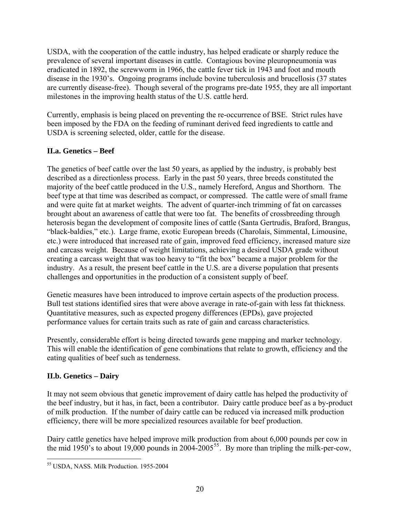USDA, with the cooperation of the cattle industry, has helped eradicate or sharply reduce the prevalence of several important diseases in cattle. Contagious bovine pleuropneumonia was eradicated in 1892, the screwworm in 1966, the cattle fever tick in 1943 and foot and mouth disease in the 1930's. Ongoing programs include bovine tuberculosis and brucellosis (37 states are currently disease-free). Though several of the programs pre-date 1955, they are all important milestones in the improving health status of the U.S. cattle herd.

Currently, emphasis is being placed on preventing the re-occurrence of BSE. Strict rules have been imposed by the FDA on the feeding of ruminant derived feed ingredients to cattle and USDA is screening selected, older, cattle for the disease.

# **II.a. Genetics – Beef**

The genetics of beef cattle over the last 50 years, as applied by the industry, is probably best described as a directionless process. Early in the past 50 years, three breeds constituted the majority of the beef cattle produced in the U.S., namely Hereford, Angus and Shorthorn. The beef type at that time was described as compact, or compressed. The cattle were of small frame and were quite fat at market weights. The advent of quarter-inch trimming of fat on carcasses brought about an awareness of cattle that were too fat. The benefits of crossbreeding through heterosis began the development of composite lines of cattle (Santa Gertrudis, Braford, Brangus, "black-baldies," etc.). Large frame, exotic European breeds (Charolais, Simmental, Limousine, etc.) were introduced that increased rate of gain, improved feed efficiency, increased mature size and carcass weight. Because of weight limitations, achieving a desired USDA grade without creating a carcass weight that was too heavy to "fit the box" became a major problem for the industry. As a result, the present beef cattle in the U.S. are a diverse population that presents challenges and opportunities in the production of a consistent supply of beef.

Genetic measures have been introduced to improve certain aspects of the production process. Bull test stations identified sires that were above average in rate-of-gain with less fat thickness. Quantitative measures, such as expected progeny differences (EPDs), gave projected performance values for certain traits such as rate of gain and carcass characteristics.

Presently, considerable effort is being directed towards gene mapping and marker technology. This will enable the identification of gene combinations that relate to growth, efficiency and the eating qualities of beef such as tenderness.

# **II.b. Genetics – Dairy**

It may not seem obvious that genetic improvement of dairy cattle has helped the productivity of the beef industry, but it has, in fact, been a contributor. Dairy cattle produce beef as a by-product of milk production. If the number of dairy cattle can be reduced via increased milk production efficiency, there will be more specialized resources available for beef production.

Dairy cattle genetics have helped improve milk production from about 6,000 pounds per cow in the mid 1950's to about 19,000 pounds in 2004-2005<sup>[55](#page-19-0)</sup>. By more than tripling the milk-per-cow,

<span id="page-19-0"></span> $\overline{a}$ 55 USDA, NASS. Milk Production. 1955-2004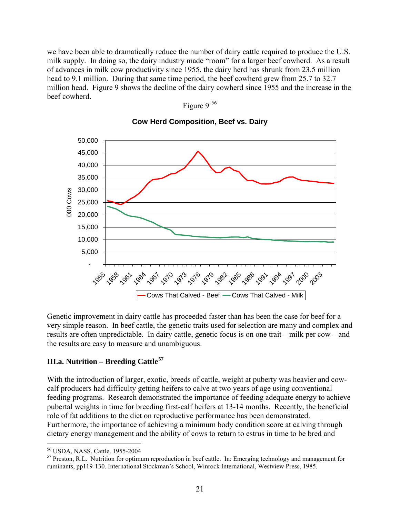we have been able to dramatically reduce the number of dairy cattle required to produce the U.S. milk supply. In doing so, the dairy industry made "room" for a larger beef cowherd. As a result of advances in milk cow productivity since 1955, the dairy herd has shrunk from 23.5 million head to 9.1 million. During that same time period, the beef cowherd grew from 25.7 to 32.7 million head. Figure 9 shows the decline of the dairy cowherd since 1955 and the increase in the beef cowherd. Figure 9 [56](#page-20-0)



**Cow Herd Composition, Beef vs. Dairy**

Genetic improvement in dairy cattle has proceeded faster than has been the case for beef for a very simple reason. In beef cattle, the genetic traits used for selection are many and complex and results are often unpredictable. In dairy cattle, genetic focus is on one trait – milk per cow – and the results are easy to measure and unambiguous.

#### **III.a. Nutrition – Breeding Cattle[57](#page-20-1)**

With the introduction of larger, exotic, breeds of cattle, weight at puberty was heavier and cowcalf producers had difficulty getting heifers to calve at two years of age using conventional feeding programs. Research demonstrated the importance of feeding adequate energy to achieve pubertal weights in time for breeding first-calf heifers at 13-14 months. Recently, the beneficial role of fat additions to the diet on reproductive performance has been demonstrated. Furthermore, the importance of achieving a minimum body condition score at calving through dietary energy management and the ability of cows to return to estrus in time to be bred and

 $\overline{a}$ 56 USDA, NASS. Cattle. 1955-2004

<span id="page-20-1"></span><span id="page-20-0"></span><sup>&</sup>lt;sup>57</sup> Preston, R.L. Nutrition for optimum reproduction in beef cattle. In: Emerging technology and management for ruminants, pp119-130. International Stockman's School, Winrock International, Westview Press, 1985.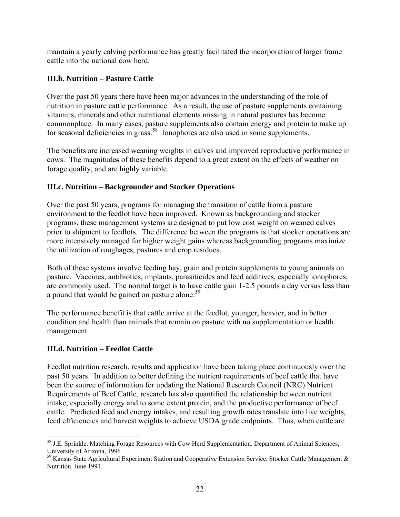maintain a yearly calving performance has greatly facilitated the incorporation of larger frame cattle into the national cow herd.

## **III.b. Nutrition – Pasture Cattle**

Over the past 50 years there have been major advances in the understanding of the role of nutrition in pasture cattle performance. As a result, the use of pasture supplements containing vitamins, minerals and other nutritional elements missing in natural pastures has become commonplace. In many cases, pasture supplements also contain energy and protein to make up for seasonal deficiencies in grass.<sup>[58](#page-21-0)</sup> Ionophores are also used in some supplements.

The benefits are increased weaning weights in calves and improved reproductive performance in cows. The magnitudes of these benefits depend to a great extent on the effects of weather on forage quality, and are highly variable.

# **III.c. Nutrition – Backgrounder and Stocker Operations**

Over the past 50 years, programs for managing the transition of cattle from a pasture environment to the feedlot have been improved. Known as backgrounding and stocker programs, these management systems are designed to put low cost weight on weaned calves prior to shipment to feedlots. The difference between the programs is that stocker operations are more intensively managed for higher weight gains whereas backgrounding programs maximize the utilization of roughages, pastures and crop residues.

Both of these systems involve feeding hay, grain and protein supplements to young animals on pasture. Vaccines, antibiotics, implants, parasiticides and feed additives, especially ionophores, are commonly used. The normal target is to have cattle gain 1-2.5 pounds a day versus less than a pound that would be gained on pasture alone.<sup>[59](#page-21-1)</sup>

The performance benefit is that cattle arrive at the feedlot, younger, heavier, and in better condition and health than animals that remain on pasture with no supplementation or health management.

# **III.d. Nutrition – Feedlot Cattle**

<u>.</u>

Feedlot nutrition research, results and application have been taking place continuously over the past 50 years. In addition to better defining the nutrient requirements of beef cattle that have been the source of information for updating the National Research Council (NRC) Nutrient Requirements of Beef Cattle, research has also quantified the relationship between nutrient intake, especially energy and to some extent protein, and the productive performance of beef cattle. Predicted feed and energy intakes, and resulting growth rates translate into live weights, feed efficiencies and harvest weights to achieve USDA grade endpoints. Thus, when cattle are

<span id="page-21-0"></span><sup>&</sup>lt;sup>58</sup> J.E. Sprinkle. Matching Forage Resources with Cow Herd Supplementation. Department of Animal Sciences, University of Arizona, 1996

<span id="page-21-1"></span> $59$  Kansas State Agricultural Experiment Station and Cooperative Extension Service. Stocker Cattle Management & Nutrition. June 1991.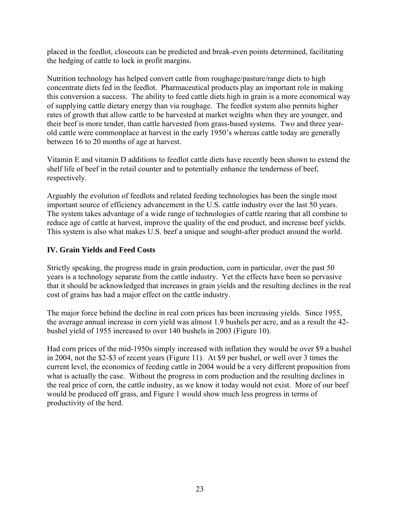placed in the feedlot, closeouts can be predicted and break-even points determined, facilitating the hedging of cattle to lock in profit margins.

Nutrition technology has helped convert cattle from roughage/pasture/range diets to high concentrate diets fed in the feedlot. Pharmaceutical products play an important role in making this conversion a success. The ability to feed cattle diets high in grain is a more economical way of supplying cattle dietary energy than via roughage. The feedlot system also permits higher rates of growth that allow cattle to be harvested at market weights when they are younger, and their beef is more tender, than cattle harvested from grass-based systems. Two and three yearold cattle were commonplace at harvest in the early 1950's whereas cattle today are generally between 16 to 20 months of age at harvest.

Vitamin E and vitamin D additions to feedlot cattle diets have recently been shown to extend the shelf life of beef in the retail counter and to potentially enhance the tenderness of beef, respectively.

Arguably the evolution of feedlots and related feeding technologies has been the single most important source of efficiency advancement in the U.S. cattle industry over the last 50 years. The system takes advantage of a wide range of technologies of cattle rearing that all combine to reduce age of cattle at harvest, improve the quality of the end product, and increase beef yields. This system is also what makes U.S. beef a unique and sought-after product around the world.

## **IV. Grain Yields and Feed Costs**

Strictly speaking, the progress made in grain production, corn in particular, over the past 50 years is a technology separate from the cattle industry. Yet the effects have been so pervasive that it should be acknowledged that increases in grain yields and the resulting declines in the real cost of grains has had a major effect on the cattle industry.

The major force behind the decline in real corn prices has been increasing yields. Since 1955, the average annual increase in corn yield was almost 1.9 bushels per acre, and as a result the 42 bushel yield of 1955 increased to over 140 bushels in 2003 (Figure 10).

Had corn prices of the mid-1950s simply increased with inflation they would be over \$9 a bushel in 2004, not the \$2-\$3 of recent years (Figure 11). At \$9 per bushel, or well over 3 times the current level, the economics of feeding cattle in 2004 would be a very different proposition from what is actually the case. Without the progress in corn production and the resulting declines in the real price of corn, the cattle industry, as we know it today would not exist. More of our beef would be produced off grass, and Figure 1 would show much less progress in terms of productivity of the herd.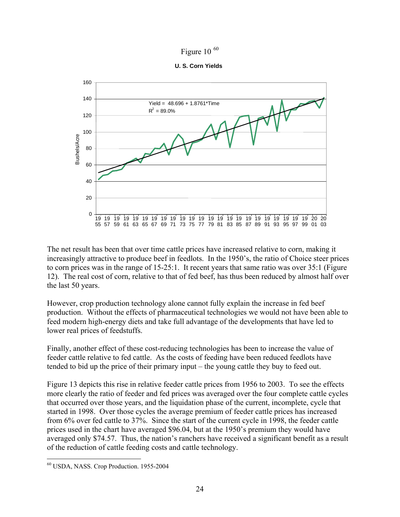

**U. S. Corn Yields**



The net result has been that over time cattle prices have increased relative to corn, making it increasingly attractive to produce beef in feedlots. In the 1950's, the ratio of Choice steer prices to corn prices was in the range of 15-25:1. It recent years that same ratio was over 35:1 (Figure 12). The real cost of corn, relative to that of fed beef, has thus been reduced by almost half over the last 50 years.

However, crop production technology alone cannot fully explain the increase in fed beef production. Without the effects of pharmaceutical technologies we would not have been able to feed modern high-energy diets and take full advantage of the developments that have led to lower real prices of feedstuffs.

Finally, another effect of these cost-reducing technologies has been to increase the value of feeder cattle relative to fed cattle. As the costs of feeding have been reduced feedlots have tended to bid up the price of their primary input – the young cattle they buy to feed out.

Figure 13 depicts this rise in relative feeder cattle prices from 1956 to 2003. To see the effects more clearly the ratio of feeder and fed prices was averaged over the four complete cattle cycles that occurred over those years, and the liquidation phase of the current, incomplete, cycle that started in 1998. Over those cycles the average premium of feeder cattle prices has increased from 6% over fed cattle to 37%. Since the start of the current cycle in 1998, the feeder cattle prices used in the chart have averaged \$96.04, but at the 1950's premium they would have averaged only \$74.57. Thus, the nation's ranchers have received a significant benefit as a result of the reduction of cattle feeding costs and cattle technology.

<u>.</u>

<span id="page-23-0"></span><sup>60</sup> USDA, NASS. Crop Production. 1955-2004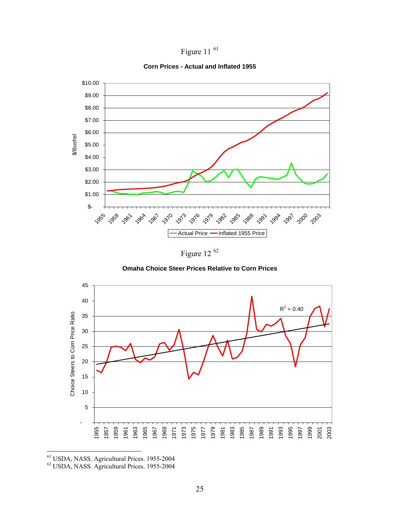

**Corn Prices - Actual and Inflated 1955**



Figure 12 [62](#page-24-1)





<span id="page-24-1"></span><span id="page-24-0"></span>61 USDA, NASS. Agricultural Prices. 1955-2004

 $\overline{a}$ 

62 USDA, NASS. Agricultural Prices. 1955-2004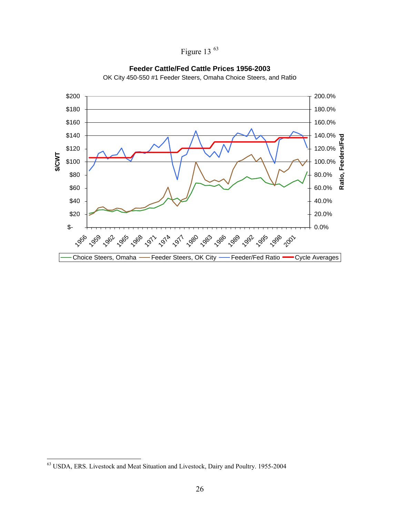



**Feeder Cattle/Fed Cattle Prices 1956-2003**

OK City 450-550 #1 Feeder Steers, Omaha Choice Steers, and Ratio

<u>.</u>

<span id="page-25-0"></span> $63$  USDA, ERS. Livestock and Meat Situation and Livestock, Dairy and Poultry. 1955-2004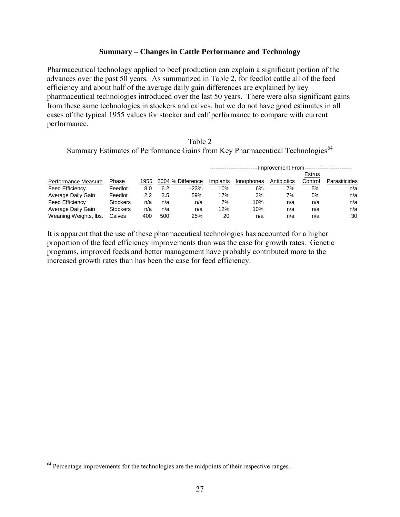#### **Summary – Changes in Cattle Performance and Technology**

Pharmaceutical technology applied to beef production can explain a significant portion of the advances over the past 50 years. As summarized in Table 2, for feedlot cattle all of the feed efficiency and about half of the average daily gain differences are explained by key pharmaceutical technologies introduced over the last 50 years. There were also significant gains from these same technologies in stockers and calves, but we do not have good estimates in all cases of the typical 1955 values for stocker and calf performance to compare with current performance.

| Table 2                                                                                   |  |
|-------------------------------------------------------------------------------------------|--|
| Summary Estimates of Performance Gains from Key Pharmaceutical Technologies <sup>64</sup> |  |

|                        |                 |      |     |                   | -----Improvement From-------------------------- |                   |             |         |                      |
|------------------------|-----------------|------|-----|-------------------|-------------------------------------------------|-------------------|-------------|---------|----------------------|
|                        |                 |      |     |                   |                                                 |                   |             | Estrus  |                      |
| Performance Measure    | Phase           | 1955 |     | 2004 % Difference | Implants                                        | <b>Ionophones</b> | Antibiotics | Control | <b>Parasiticides</b> |
| <b>Feed Efficiency</b> | Feedlot         | 8.0  | 6.2 | $-23%$            | 10%                                             | 6%                | 7%          | 5%      | n/a                  |
| Average Daily Gain     | Feedlot         | 2.2  | 3.5 | 59%               | 17%                                             | 3%                | 7%          | 5%      | n/a                  |
| <b>Feed Efficiency</b> | <b>Stockers</b> | n/a  | n/a | n/a               | 7%                                              | 10%               | n/a         | n/a     | n/a                  |
| Average Daily Gain     | <b>Stockers</b> | n/a  | n/a | n/a               | 12%                                             | 10%               | n/a         | n/a     | n/a                  |
| Weaning Weights, Ibs.  | Calves          | 400  | 500 | 25%               | 20                                              | n/a               | n/a         | n/a     | 30                   |

It is apparent that the use of these pharmaceutical technologies has accounted for a higher proportion of the feed efficiency improvements than was the case for growth rates. Genetic programs, improved feeds and better management have probably contributed more to the increased growth rates than has been the case for feed efficiency.

 $\overline{a}$ 

<span id="page-26-0"></span> $64$  Percentage improvements for the technologies are the midpoints of their respective ranges.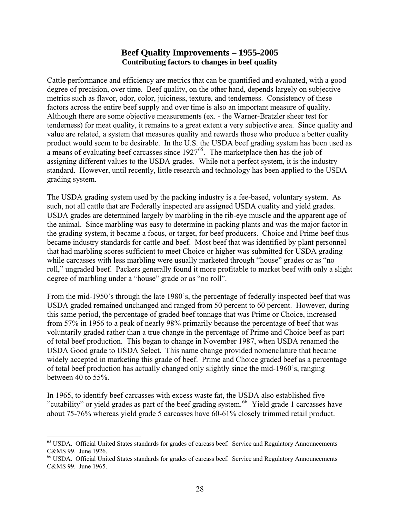# **Beef Quality Improvements – 1955-2005 Contributing factors to changes in beef quality**

Cattle performance and efficiency are metrics that can be quantified and evaluated, with a good degree of precision, over time. Beef quality, on the other hand, depends largely on subjective metrics such as flavor, odor, color, juiciness, texture, and tenderness. Consistency of these factors across the entire beef supply and over time is also an important measure of quality. Although there are some objective measurements (ex. - the Warner-Bratzler sheer test for tenderness) for meat quality, it remains to a great extent a very subjective area. Since quality and value are related, a system that measures quality and rewards those who produce a better quality product would seem to be desirable. In the U.S. the USDA beef grading system has been used as a means of evaluating beef carcasses since  $1927^{65}$  $1927^{65}$  $1927^{65}$ . The marketplace then has the job of assigning different values to the USDA grades. While not a perfect system, it is the industry standard. However, until recently, little research and technology has been applied to the USDA grading system.

The USDA grading system used by the packing industry is a fee-based, voluntary system. As such, not all cattle that are Federally inspected are assigned USDA quality and yield grades. USDA grades are determined largely by marbling in the rib-eye muscle and the apparent age of the animal. Since marbling was easy to determine in packing plants and was the major factor in the grading system, it became a focus, or target, for beef producers. Choice and Prime beef thus became industry standards for cattle and beef. Most beef that was identified by plant personnel that had marbling scores sufficient to meet Choice or higher was submitted for USDA grading while carcasses with less marbling were usually marketed through "house" grades or as "no roll," ungraded beef. Packers generally found it more profitable to market beef with only a slight degree of marbling under a "house" grade or as "no roll".

From the mid-1950's through the late 1980's, the percentage of federally inspected beef that was USDA graded remained unchanged and ranged from 50 percent to 60 percent. However, during this same period, the percentage of graded beef tonnage that was Prime or Choice, increased from 57% in 1956 to a peak of nearly 98% primarily because the percentage of beef that was voluntarily graded rather than a true change in the percentage of Prime and Choice beef as part of total beef production. This began to change in November 1987, when USDA renamed the USDA Good grade to USDA Select. This name change provided nomenclature that became widely accepted in marketing this grade of beef. Prime and Choice graded beef as a percentage of total beef production has actually changed only slightly since the mid-1960's, ranging between 40 to 55%.

In 1965, to identify beef carcasses with excess waste fat, the USDA also established five "cutability" or yield grades as part of the beef grading system.<sup>[66](#page-27-1)</sup> Yield grade 1 carcasses have about 75-76% whereas yield grade 5 carcasses have 60-61% closely trimmed retail product.

<u>.</u>

<span id="page-27-0"></span><sup>&</sup>lt;sup>65</sup> USDA. Official United States standards for grades of carcass beef. Service and Regulatory Announcements C&MS 99. June 1926.

<span id="page-27-1"></span><sup>&</sup>lt;sup>66</sup> USDA. Official United States standards for grades of carcass beef. Service and Regulatory Announcements C&MS 99. June 1965.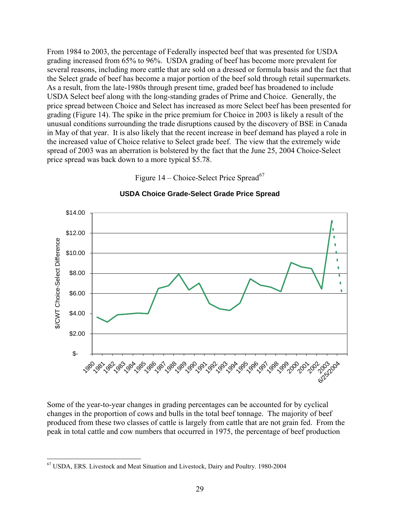From 1984 to 2003, the percentage of Federally inspected beef that was presented for USDA grading increased from 65% to 96%. USDA grading of beef has become more prevalent for several reasons, including more cattle that are sold on a dressed or formula basis and the fact that the Select grade of beef has become a major portion of the beef sold through retail supermarkets. As a result, from the late-1980s through present time, graded beef has broadened to include USDA Select beef along with the long-standing grades of Prime and Choice. Generally, the price spread between Choice and Select has increased as more Select beef has been presented for grading (Figure 14). The spike in the price premium for Choice in 2003 is likely a result of the unusual conditions surrounding the trade disruptions caused by the discovery of BSE in Canada in May of that year. It is also likely that the recent increase in beef demand has played a role in the increased value of Choice relative to Select grade beef. The view that the extremely wide spread of 2003 was an aberration is bolstered by the fact that the June 25, 2004 Choice-Select price spread was back down to a more typical \$5.78.

Figure  $14$  – Choice-Select Price Spread<sup>[67](#page-28-0)</sup>



#### **USDA Choice Grade-Select Grade Price Spread**

Some of the year-to-year changes in grading percentages can be accounted for by cyclical changes in the proportion of cows and bulls in the total beef tonnage. The majority of beef produced from these two classes of cattle is largely from cattle that are not grain fed. From the peak in total cattle and cow numbers that occurred in 1975, the percentage of beef production

<u>.</u>

<span id="page-28-0"></span><sup>67</sup> USDA, ERS. Livestock and Meat Situation and Livestock, Dairy and Poultry. 1980-2004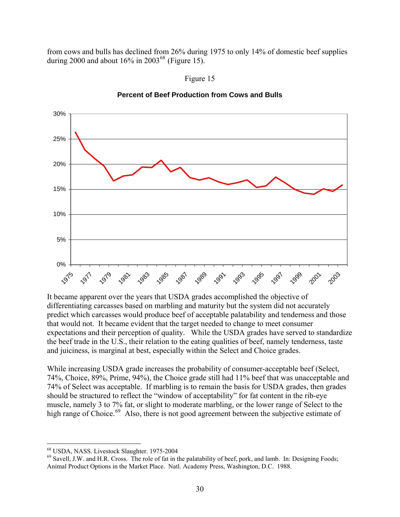from cows and bulls has declined from 26% during 1975 to only 14% of domestic beef supplies during 2000 and about  $16\%$  in 2003<sup>[68](#page-29-0)</sup> (Figure 15).



**Percent of Beef Production from Cows and Bulls**

Figure 15

It became apparent over the years that USDA grades accomplished the objective of differentiating carcasses based on marbling and maturity but the system did not accurately predict which carcasses would produce beef of acceptable palatability and tenderness and those that would not. It became evident that the target needed to change to meet consumer expectations and their perception of quality. While the USDA grades have served to standardize the beef trade in the U.S., their relation to the eating qualities of beef, namely tenderness, taste and juiciness, is marginal at best, especially within the Select and Choice grades.

While increasing USDA grade increases the probability of consumer-acceptable beef (Select, 74%, Choice, 89%, Prime, 94%), the Choice grade still had 11% beef that was unacceptable and 74% of Select was acceptable. If marbling is to remain the basis for USDA grades, then grades should be structured to reflect the "window of acceptability" for fat content in the rib-eye muscle, namely 3 to 7% fat, or slight to moderate marbling, or the lower range of Select to the high range of Choice.<sup>[69](#page-29-1)</sup> Also, there is not good agreement between the subjective estimate of

 $\overline{a}$ 

<span id="page-29-0"></span><sup>68</sup> USDA, NASS. Livestock Slaughter. 1975-2004

<span id="page-29-1"></span><sup>&</sup>lt;sup>69</sup> Savell, J.W. and H.R. Cross. The role of fat in the palatability of beef, pork, and lamb. In: Designing Foods; Animal Product Options in the Market Place. Natl. Academy Press, Washington, D.C. 1988.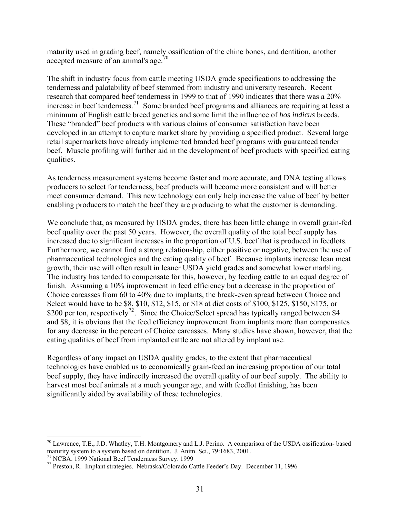maturity used in grading beef, namely ossification of the chine bones, and dentition, another accepted measure of an animal's age.<sup>[70](#page-30-0)</sup>

The shift in industry focus from cattle meeting USDA grade specifications to addressing the tenderness and palatability of beef stemmed from industry and university research. Recent research that compared beef tenderness in 1999 to that of 1990 indicates that there was a 20% increase in beef tenderness.<sup>[71](#page-30-1)</sup> Some branded beef programs and alliances are requiring at least a minimum of English cattle breed genetics and some limit the influence of *bos indicus* breeds. These "branded" beef products with various claims of consumer satisfaction have been developed in an attempt to capture market share by providing a specified product. Several large retail supermarkets have already implemented branded beef programs with guaranteed tender beef. Muscle profiling will further aid in the development of beef products with specified eating qualities.

As tenderness measurement systems become faster and more accurate, and DNA testing allows producers to select for tenderness, beef products will become more consistent and will better meet consumer demand. This new technology can only help increase the value of beef by better enabling producers to match the beef they are producing to what the customer is demanding.

We conclude that, as measured by USDA grades, there has been little change in overall grain-fed beef quality over the past 50 years. However, the overall quality of the total beef supply has increased due to significant increases in the proportion of U.S. beef that is produced in feedlots. Furthermore, we cannot find a strong relationship, either positive or negative, between the use of pharmaceutical technologies and the eating quality of beef. Because implants increase lean meat growth, their use will often result in leaner USDA yield grades and somewhat lower marbling. The industry has tended to compensate for this, however, by feeding cattle to an equal degree of finish. Assuming a 10% improvement in feed efficiency but a decrease in the proportion of Choice carcasses from 60 to 40% due to implants, the break-even spread between Choice and Select would have to be \$8, \$10, \$12, \$15, or \$18 at diet costs of \$100, \$125, \$150, \$175, or \$200 per ton, respectively<sup>[72](#page-30-2)</sup>. Since the Choice/Select spread has typically ranged between \$4 and \$8, it is obvious that the feed efficiency improvement from implants more than compensates for any decrease in the percent of Choice carcasses. Many studies have shown, however, that t he eating qualities of beef from implanted cattle are not altered by implant use.

Regardless of any impact on USDA quality grades, to the extent that pharmaceutical technologies have enabled us to economically grain-feed an increasing proportion of our total beef supply, they have indirectly increased the overall quality of our beef supply. The ability to harvest most beef animals at a much younger age, and with feedlot finishing, has been significantly aided by availability of these technologies.

<span id="page-30-1"></span>71 NCBA. 1999 National Beef Tenderness Survey. 1999

<u>.</u>

<span id="page-30-0"></span> $70$  Lawrence, T.E., J.D. Whatley, T.H. Montgomery and L.J. Perino. A comparison of the USDA ossification- based maturity system to a system based on dentition. J. Anim. Sci., 79:1683, 2001.

<span id="page-30-2"></span><sup>72</sup> Preston, R. Implant strategies. Nebraska/Colorado Cattle Feeder's Day. December 11, 1996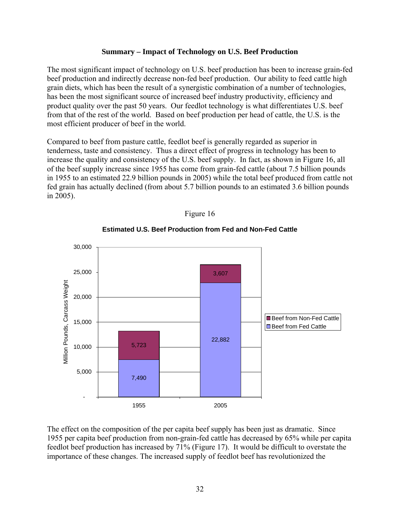#### **Summary – Impact of Technology on U.S. Beef Production**

The most significant impact of technology on U.S. beef production has been to increase grain-fed beef production and indirectly decrease non-fed beef production. Our ability to feed cattle high grain diets, which has been the result of a synergistic combination of a number of technologies, has been the most significant source of increased beef industry productivity, efficiency and product quality over the past 50 years. Our feedlot technology is what differentiates U.S. beef from that of the rest of the world. Based on beef production per head of cattle, the U.S. is the most efficient producer of beef in the world.

Compared to beef from pasture cattle, feedlot beef is generally regarded as superior in tenderness, taste and consistency. Thus a direct effect of progress in technology has been to increase the quality and consistency of the U.S. beef supply. In fact, as shown in Figure 16, all of the beef supply increase since 1955 has come from grain-fed cattle (about 7.5 billion pounds in 1955 to an estimated 22.9 billion pounds in 2005) while the total beef produced from cattle not fed grain has actually declined (from about 5.7 billion pounds to an estimated 3.6 billion pounds in 2005).



# Figure 16

**Estimated U.S. Beef Production from Fed and Non-Fed Cattle**

The effect on the composition of the per capita beef supply has been just as dramatic. Since 1955 per capita beef production from non-grain-fed cattle has decreased by 65% while per capita feedlot beef production has increased by 71% (Figure 17). It would be difficult to overstate the importance of these changes. The increased supply of feedlot beef has revolutionized the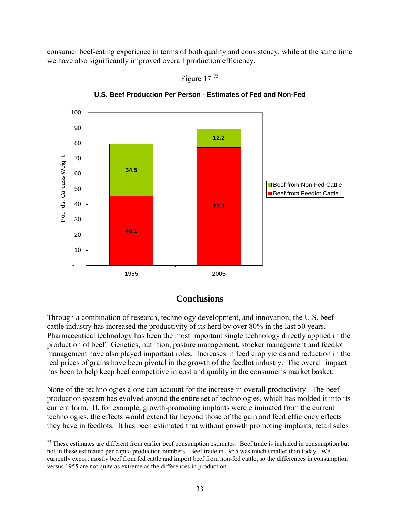consumer beef-eating experience in terms of both quality and consistency, while at the same time we have also significantly improved overall production efficiency.



**U.S. Beef Production Per Person - Estimates of Fed and Non-Fed**

Figure 17 [73](#page-32-0)

## **Conclusions**

Through a combination of research, technology development, and innovation, the U.S. beef cattle industry has increased the productivity of its herd by over 80% in the last 50 years. Pharmaceutical technology has been the most important single technology directly applied in the production of beef. Genetics, nutrition, pasture management, stocker management and feedlot management have also played important roles. Increases in feed crop yields and reduction in the real prices of grains have been pivotal in the growth of the feedlot industry. The overall impact has been to help keep beef competitive in cost and quality in the consumer's market basket.

None of the technologies alone can account for the increase in overall productivity. The beef production system has evolved around the entire set of technologies, which has molded it into its current form. If, for example, growth-promoting implants were eliminated from the current technologies, the effects would extend far beyond those of the gain and feed efficiency effects they have in feedlots. It has been estimated that without growth promoting implants, retail sales

 $\overline{a}$ 

<span id="page-32-0"></span> $73$  These estimates are different from earlier beef consumption estimates. Beef trade is included in consumption but not in these estimated per capita production numbers. Beef trade in 1955 was much smaller than today. We currently export mostly beef from fed cattle and import beef from non-fed cattle, so the differences in consumption versus 1955 are not quite as extreme as the differences in production.